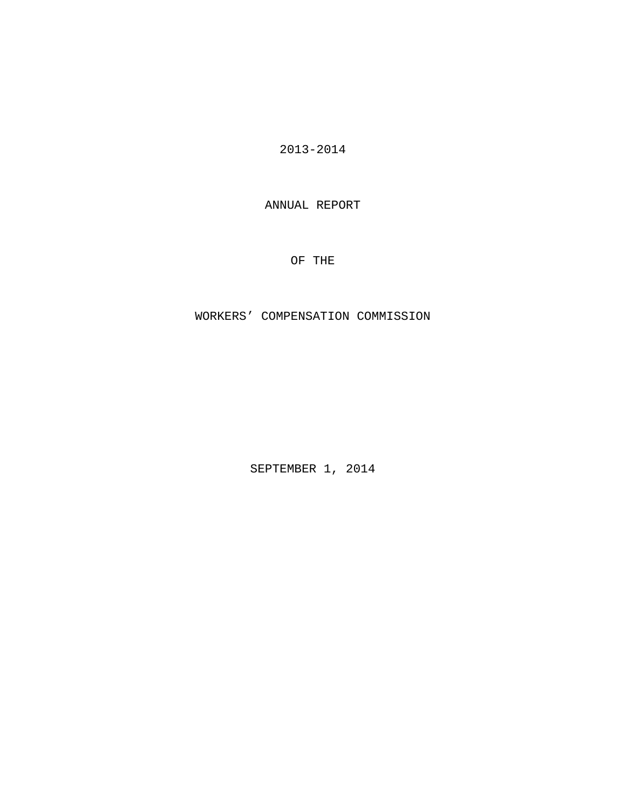2013-2014

ANNUAL REPORT

OF THE

WORKERS' COMPENSATION COMMISSION

SEPTEMBER 1, 2014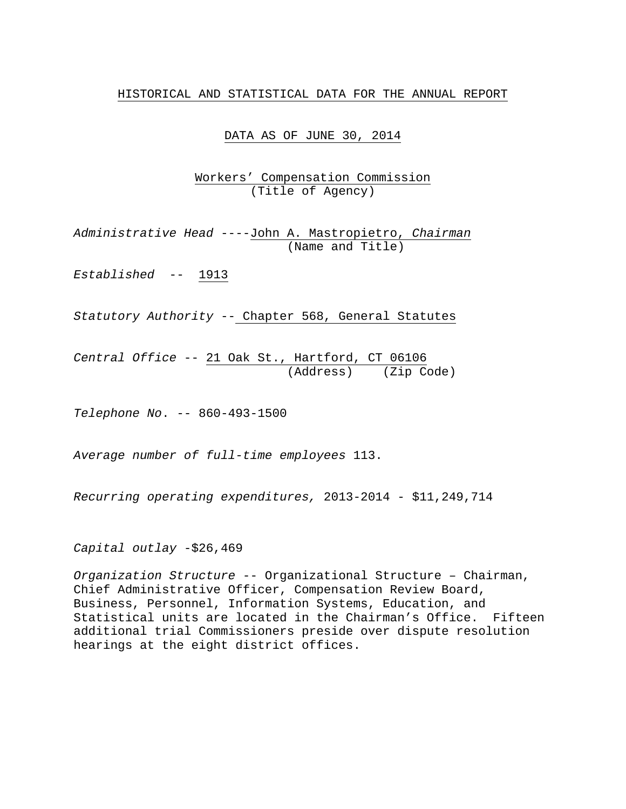## HISTORICAL AND STATISTICAL DATA FOR THE ANNUAL REPORT

DATA AS OF JUNE 30, 2014

Workers' Compensation Commission (Title of Agency)

*Administrative Head* ----John A. Mastropietro, *Chairman* (Name and Title)

*Established* -- 1913

*Statutory Authority* -- Chapter 568, General Statutes

*Central Office* -- 21 Oak St., Hartford, CT 06106 (Address) (Zip Code)

*Telephone No*. -- 860-493-1500

*Average number of full-time employees* 113.

*Recurring operating expenditures,* 2013-2014 - \$11,249,714

*Capital outlay* -\$26,469

*Organization Structure* -- Organizational Structure – Chairman, Chief Administrative Officer, Compensation Review Board, Business, Personnel, Information Systems, Education, and Statistical units are located in the Chairman's Office. Fifteen additional trial Commissioners preside over dispute resolution hearings at the eight district offices.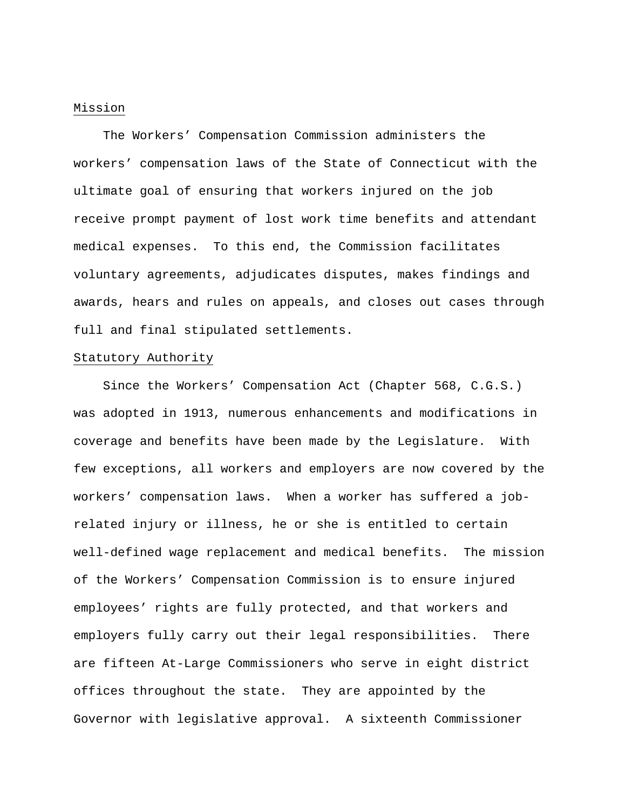## Mission

 The Workers' Compensation Commission administers the workers' compensation laws of the State of Connecticut with the ultimate goal of ensuring that workers injured on the job receive prompt payment of lost work time benefits and attendant medical expenses. To this end, the Commission facilitates voluntary agreements, adjudicates disputes, makes findings and awards, hears and rules on appeals, and closes out cases through full and final stipulated settlements.

#### Statutory Authority

 Since the Workers' Compensation Act (Chapter 568, C.G.S.) was adopted in 1913, numerous enhancements and modifications in coverage and benefits have been made by the Legislature. With few exceptions, all workers and employers are now covered by the workers' compensation laws. When a worker has suffered a jobrelated injury or illness, he or she is entitled to certain well-defined wage replacement and medical benefits. The mission of the Workers' Compensation Commission is to ensure injured employees' rights are fully protected, and that workers and employers fully carry out their legal responsibilities. There are fifteen At-Large Commissioners who serve in eight district offices throughout the state. They are appointed by the Governor with legislative approval. A sixteenth Commissioner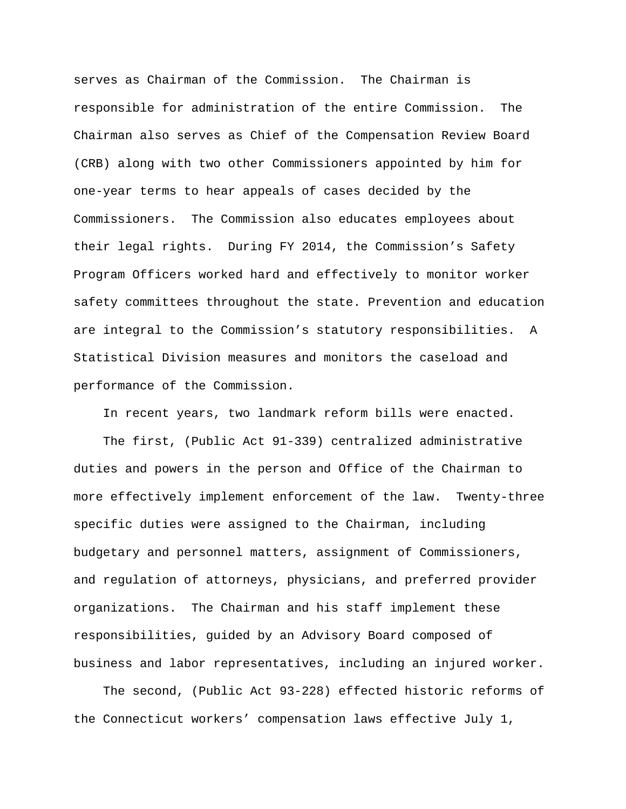serves as Chairman of the Commission. The Chairman is responsible for administration of the entire Commission. The Chairman also serves as Chief of the Compensation Review Board (CRB) along with two other Commissioners appointed by him for one-year terms to hear appeals of cases decided by the Commissioners. The Commission also educates employees about their legal rights. During FY 2014, the Commission's Safety Program Officers worked hard and effectively to monitor worker safety committees throughout the state. Prevention and education are integral to the Commission's statutory responsibilities. A Statistical Division measures and monitors the caseload and performance of the Commission.

In recent years, two landmark reform bills were enacted.

 The first, (Public Act 91-339) centralized administrative duties and powers in the person and Office of the Chairman to more effectively implement enforcement of the law. Twenty-three specific duties were assigned to the Chairman, including budgetary and personnel matters, assignment of Commissioners, and regulation of attorneys, physicians, and preferred provider organizations. The Chairman and his staff implement these responsibilities, guided by an Advisory Board composed of business and labor representatives, including an injured worker.

 The second, (Public Act 93-228) effected historic reforms of the Connecticut workers' compensation laws effective July 1,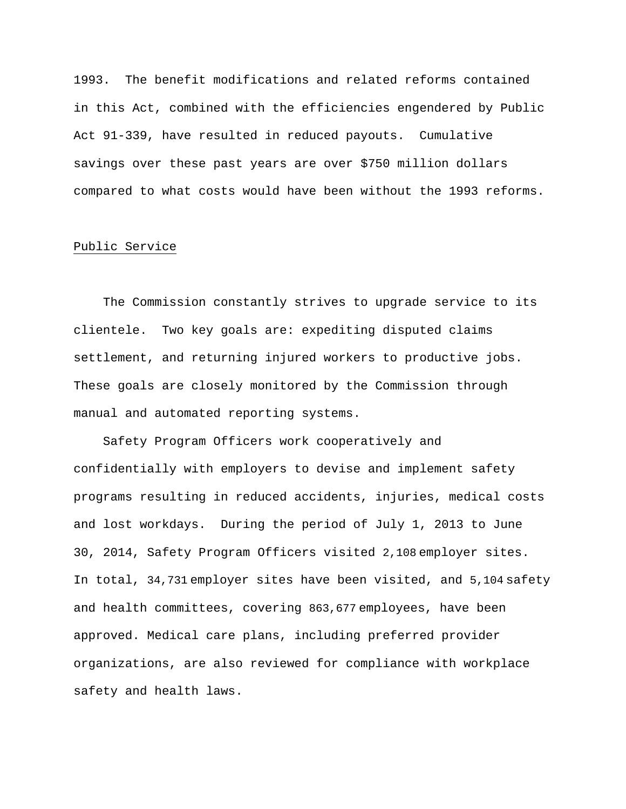1993. The benefit modifications and related reforms contained in this Act, combined with the efficiencies engendered by Public Act 91-339, have resulted in reduced payouts. Cumulative savings over these past years are over \$750 million dollars compared to what costs would have been without the 1993 reforms.

## Public Service

 The Commission constantly strives to upgrade service to its clientele. Two key goals are: expediting disputed claims settlement, and returning injured workers to productive jobs. These goals are closely monitored by the Commission through manual and automated reporting systems.

 Safety Program Officers work cooperatively and confidentially with employers to devise and implement safety programs resulting in reduced accidents, injuries, medical costs and lost workdays. During the period of July 1, 2013 to June 30, 2014, Safety Program Officers visited 2,108 employer sites. In total, 34,731 employer sites have been visited, and 5,104 safety and health committees, covering 863,677 employees, have been approved. Medical care plans, including preferred provider organizations, are also reviewed for compliance with workplace safety and health laws.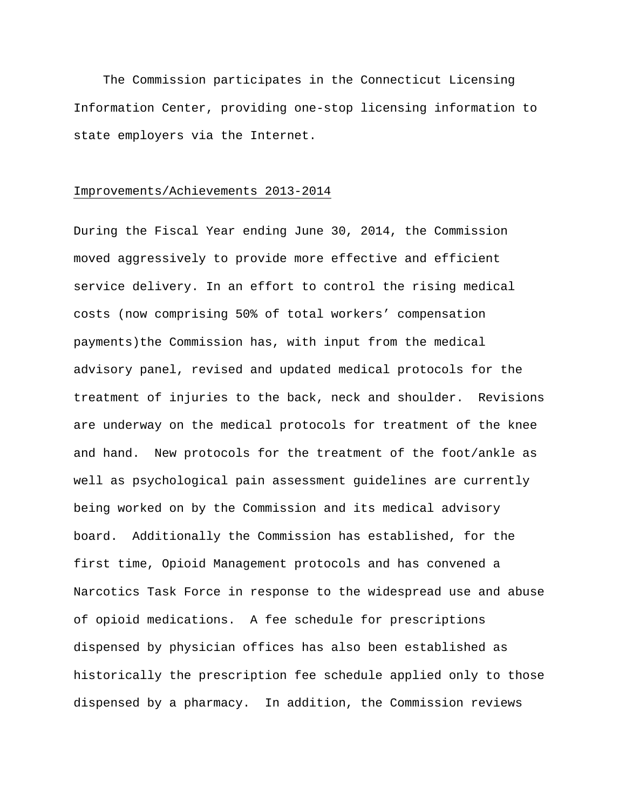The Commission participates in the Connecticut Licensing Information Center, providing one-stop licensing information to state employers via the Internet.

#### Improvements/Achievements 2013-2014

During the Fiscal Year ending June 30, 2014, the Commission moved aggressively to provide more effective and efficient service delivery. In an effort to control the rising medical costs (now comprising 50% of total workers' compensation payments)the Commission has, with input from the medical advisory panel, revised and updated medical protocols for the treatment of injuries to the back, neck and shoulder. Revisions are underway on the medical protocols for treatment of the knee and hand. New protocols for the treatment of the foot/ankle as well as psychological pain assessment guidelines are currently being worked on by the Commission and its medical advisory board. Additionally the Commission has established, for the first time, Opioid Management protocols and has convened a Narcotics Task Force in response to the widespread use and abuse of opioid medications. A fee schedule for prescriptions dispensed by physician offices has also been established as historically the prescription fee schedule applied only to those dispensed by a pharmacy. In addition, the Commission reviews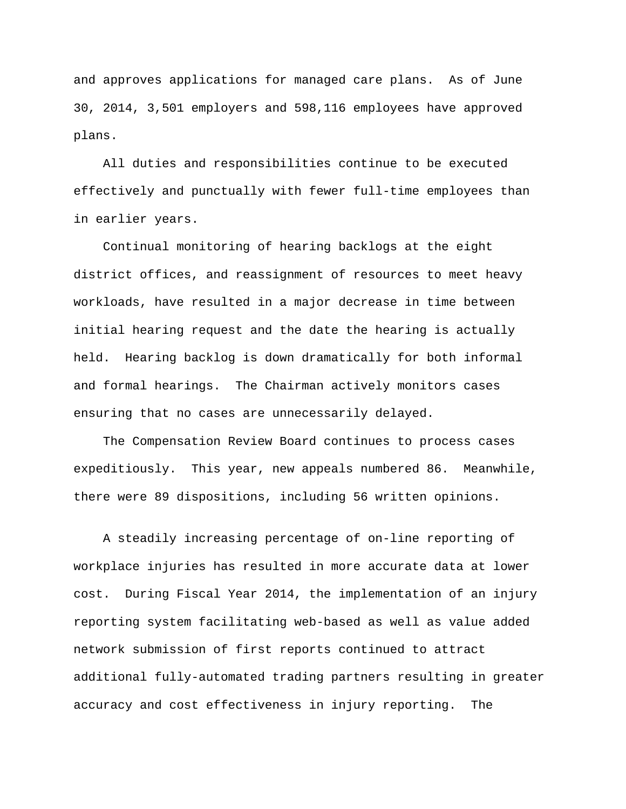and approves applications for managed care plans. As of June 30, 2014, 3,501 employers and 598,116 employees have approved plans.

 All duties and responsibilities continue to be executed effectively and punctually with fewer full-time employees than in earlier years.

 Continual monitoring of hearing backlogs at the eight district offices, and reassignment of resources to meet heavy workloads, have resulted in a major decrease in time between initial hearing request and the date the hearing is actually held. Hearing backlog is down dramatically for both informal and formal hearings. The Chairman actively monitors cases ensuring that no cases are unnecessarily delayed.

 The Compensation Review Board continues to process cases expeditiously. This year, new appeals numbered 86. Meanwhile, there were 89 dispositions, including 56 written opinions.

 A steadily increasing percentage of on-line reporting of workplace injuries has resulted in more accurate data at lower cost. During Fiscal Year 2014, the implementation of an injury reporting system facilitating web-based as well as value added network submission of first reports continued to attract additional fully-automated trading partners resulting in greater accuracy and cost effectiveness in injury reporting. The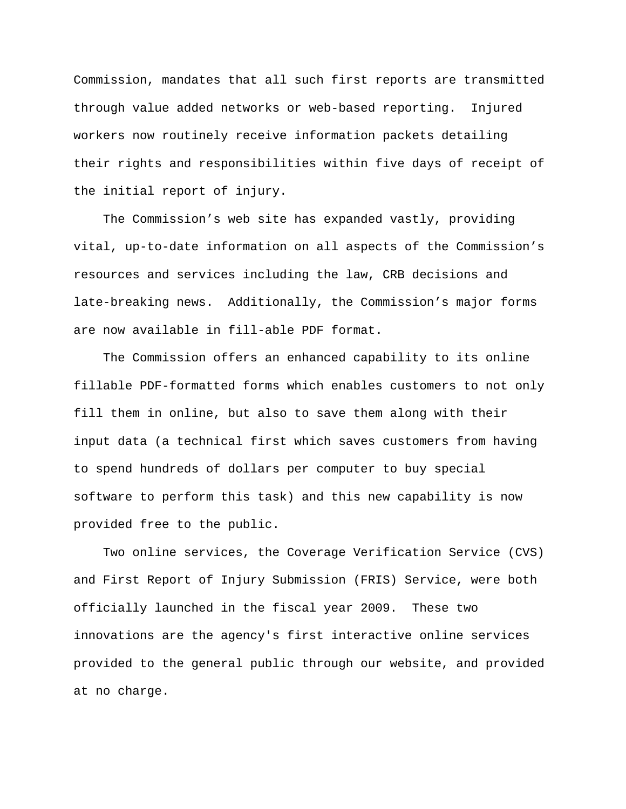Commission, mandates that all such first reports are transmitted through value added networks or web-based reporting. Injured workers now routinely receive information packets detailing their rights and responsibilities within five days of receipt of the initial report of injury.

 The Commission's web site has expanded vastly, providing vital, up-to-date information on all aspects of the Commission's resources and services including the law, CRB decisions and late-breaking news. Additionally, the Commission's major forms are now available in fill-able PDF format.

 The Commission offers an enhanced capability to its online fillable PDF-formatted forms which enables customers to not only fill them in online, but also to save them along with their input data (a technical first which saves customers from having to spend hundreds of dollars per computer to buy special software to perform this task) and this new capability is now provided free to the public.

 Two online services, the Coverage Verification Service (CVS) and First Report of Injury Submission (FRIS) Service, were both officially launched in the fiscal year 2009. These two innovations are the agency's first interactive online services provided to the general public through our website, and provided at no charge.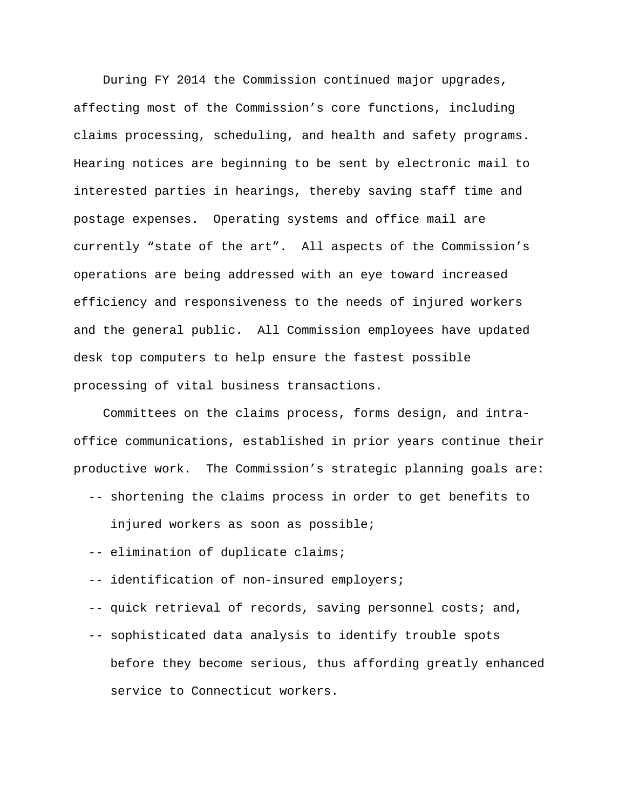During FY 2014 the Commission continued major upgrades, affecting most of the Commission's core functions, including claims processing, scheduling, and health and safety programs. Hearing notices are beginning to be sent by electronic mail to interested parties in hearings, thereby saving staff time and postage expenses. Operating systems and office mail are currently "state of the art". All aspects of the Commission's operations are being addressed with an eye toward increased efficiency and responsiveness to the needs of injured workers and the general public. All Commission employees have updated desk top computers to help ensure the fastest possible processing of vital business transactions.

 Committees on the claims process, forms design, and intraoffice communications, established in prior years continue their productive work. The Commission's strategic planning goals are:

-- shortening the claims process in order to get benefits to

injured workers as soon as possible;

- -- elimination of duplicate claims;
- -- identification of non-insured employers;

-- quick retrieval of records, saving personnel costs; and,

 -- sophisticated data analysis to identify trouble spots before they become serious, thus affording greatly enhanced service to Connecticut workers.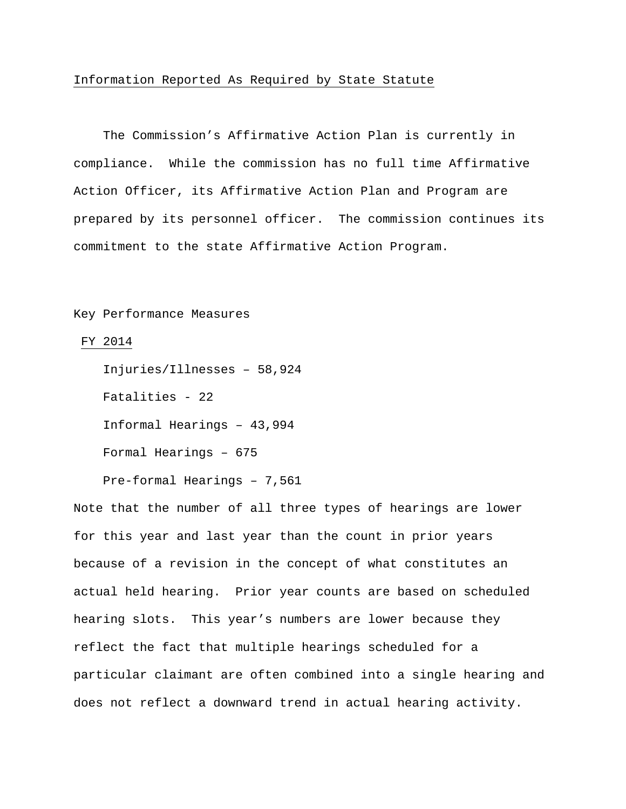#### Information Reported As Required by State Statute

 The Commission's Affirmative Action Plan is currently in compliance. While the commission has no full time Affirmative Action Officer, its Affirmative Action Plan and Program are prepared by its personnel officer. The commission continues its commitment to the state Affirmative Action Program.

# Key Performance Measures

#### FY 2014

 Injuries/Illnesses – 58,924 Fatalities - 22 Informal Hearings – 43,994 Formal Hearings – 675

Pre-formal Hearings – 7,561

Note that the number of all three types of hearings are lower for this year and last year than the count in prior years because of a revision in the concept of what constitutes an actual held hearing. Prior year counts are based on scheduled hearing slots. This year's numbers are lower because they reflect the fact that multiple hearings scheduled for a particular claimant are often combined into a single hearing and does not reflect a downward trend in actual hearing activity.